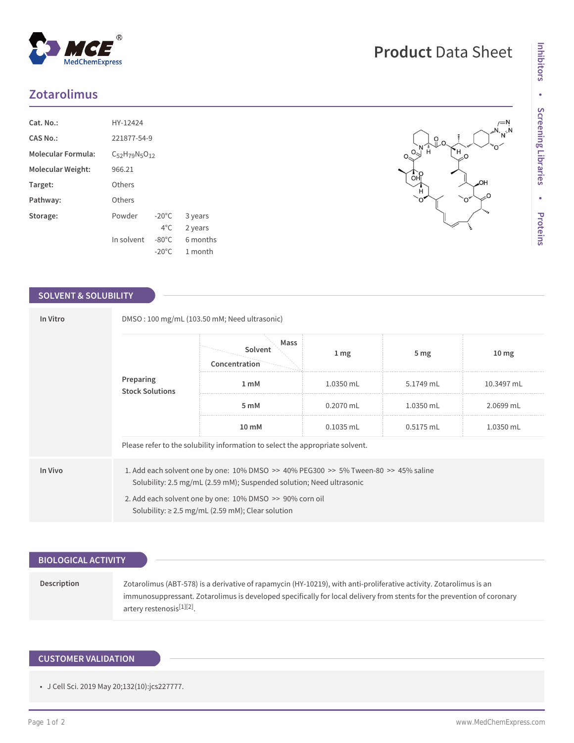# **Zotarolimus**

| Cat. No.:                 | HY-12424                  |                 |          |  |  |  |
|---------------------------|---------------------------|-----------------|----------|--|--|--|
| CAS No.:                  | 221877-54-9               |                 |          |  |  |  |
| <b>Molecular Formula:</b> | $C_{52}H_{79}N_{5}O_{12}$ |                 |          |  |  |  |
| Molecular Weight:         | 966.21                    |                 |          |  |  |  |
| Target:                   | Others                    |                 |          |  |  |  |
| Pathway:                  | Others                    |                 |          |  |  |  |
| Storage:                  | Powder                    | $-20^{\circ}$ C | 3 years  |  |  |  |
|                           |                           | $4^{\circ}$ C.  | 2 years  |  |  |  |
|                           | In solvent                | $-80^{\circ}$ C | 6 months |  |  |  |
|                           |                           | $-20^{\circ}$ C | 1 month  |  |  |  |

#### **SOLVENT & SOLUBILITY**

| In Vitro<br>Preparing |                                                                                                                                                                                                                                                                                   | DMSO: 100 mg/mL (103.50 mM; Need ultrasonic)<br>Mass<br>Solvent<br>Concentration | $1 \, \text{mg}$ | 5 <sub>mg</sub> | 10 <sub>mg</sub> |  |  |
|-----------------------|-----------------------------------------------------------------------------------------------------------------------------------------------------------------------------------------------------------------------------------------------------------------------------------|----------------------------------------------------------------------------------|------------------|-----------------|------------------|--|--|
|                       | <b>Stock Solutions</b>                                                                                                                                                                                                                                                            | 1 <sub>m</sub> M                                                                 | 1.0350 mL        | 5.1749 mL       | 10.3497 mL       |  |  |
|                       |                                                                                                                                                                                                                                                                                   | 5 mM                                                                             | $0.2070$ mL      | $1.0350$ mL     | 2.0699 mL        |  |  |
|                       |                                                                                                                                                                                                                                                                                   | 10 mM                                                                            | $0.1035$ mL      | 0.5175 mL       | 1.0350 mL        |  |  |
|                       | Please refer to the solubility information to select the appropriate solvent.                                                                                                                                                                                                     |                                                                                  |                  |                 |                  |  |  |
| In Vivo               | 1. Add each solvent one by one: 10% DMSO >> 40% PEG300 >> 5% Tween-80 >> 45% saline<br>Solubility: 2.5 mg/mL (2.59 mM); Suspended solution; Need ultrasonic<br>2. Add each solvent one by one: 10% DMSO >> 90% corn oil<br>Solubility: $\geq$ 2.5 mg/mL (2.59 mM); Clear solution |                                                                                  |                  |                 |                  |  |  |

# **BIOLOGICAL ACTIVITY Description** Zotarolimus (ABT-578) is a derivative of rapamycin (HY-10219), with anti-proliferative activity. Zotarolimus is an immunosuppressant. Zotarolimus is developed specifically for local delivery from stents for the prevention of coronary artery restenosis<sup>[1][2]</sup>.

## **CUSTOMER VALIDATION**

• J Cell Sci. 2019 May 20;132(10):jcs227777.